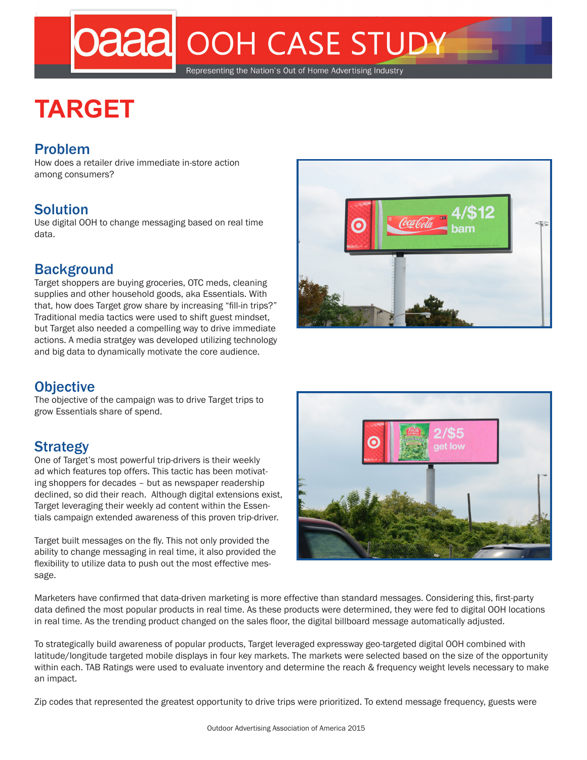# **Daaal OOH CASE STUDY**

#### Representing the Nation's Out of Home Advertising Industry

## **TARGET**

#### Problem

How does a retailer drive immediate in-store action among consumers?

#### Solution

Use digital OOH to change messaging based on real time data.

#### **Background**

Target shoppers are buying groceries, OTC meds, cleaning supplies and other household goods, aka Essentials. With that, how does Target grow share by increasing "fill-in trips?" Traditional media tactics were used to shift guest mindset, but Target also needed a compelling way to drive immediate actions. A media stratgey was developed utilizing technology and big data to dynamically motivate the core audience.

#### **Objective**

The objective of the campaign was to drive Target trips to grow Essentials share of spend.

### **Strategy**

One of Target's most powerful trip-drivers is their weekly ad which features top offers. This tactic has been motivating shoppers for decades – but as newspaper readership declined, so did their reach. Although digital extensions exist, Target leveraging their weekly ad content within the Essentials campaign extended awareness of this proven trip-driver.

Target built messages on the fly. This not only provided the ability to change messaging in real time, it also provided the flexibility to utilize data to push out the most effective message.





Marketers have confirmed that data-driven marketing is more effective than standard messages. Considering this, first-party data defined the most popular products in real time. As these products were determined, they were fed to digital OOH locations in real time. As the trending product changed on the sales floor, the digital billboard message automatically adjusted.

To strategically build awareness of popular products, Target leveraged expressway geo-targeted digital OOH combined with latitude/longitude targeted mobile displays in four key markets. The markets were selected based on the size of the opportunity within each. TAB Ratings were used to evaluate inventory and determine the reach & frequency weight levels necessary to make an impact.

Zip codes that represented the greatest opportunity to drive trips were prioritized. To extend message frequency, guests were